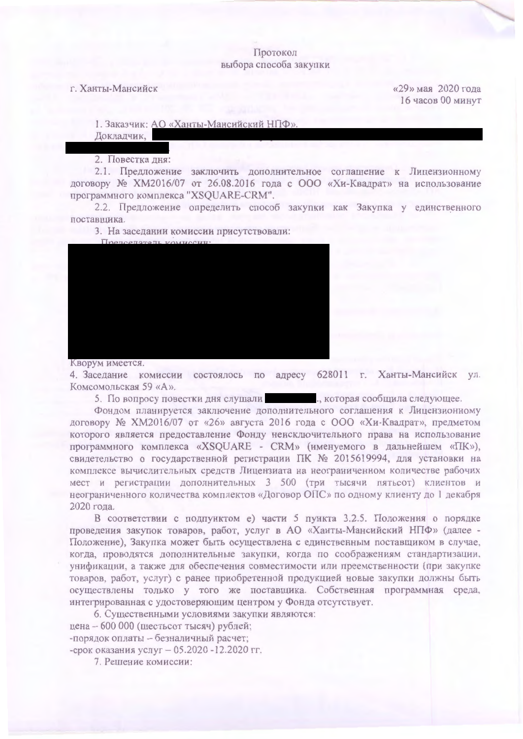## Протокол выбора способа закупки

г. Ханты-Мансийск

«29» мая 2020 года 16 часов 00 минут

1. Заказчик: АО «Ханты-Мансийский НПФ»

Докладчик,

2. Повестка дня:

2.1. Предложение заключить дополнительное соглашение к Лицензионному договору № XM2016/07 от 26.08.2016 года с ООО «Хи-Квадрат» на использование программного комплекса "XSQUARE-CRM".

2.2. Предложение определить способ закупки как Закупка у единственного поставщика.

3. На заседании комиссии присутствовали:



Кворум имеется.

4. Заседание комиссии состоялось по адресу 628011 г. Ханты-Мансийск ул. Комсомольская 59 «А».

5. По вопросу повестки дня слушали по пользу, которая сообщила следующее.

Фондом планируется заключение дополнительного соглашения к Лицензионному договору № XM2016/07 от «26» августа 2016 года с ООО «Хи-Квадрат», предметом которого является предоставление Фонду неисключительного права на использование программного комплекса «XSQUARE - CRM» (именуемого в дальнейшем «ПК»), свидетельство о государственной регистрации ПК № 2015619994, для установки на комплексе вычислительных средств Лицензиата на неограниченном количестве рабочих мест и регистрации дополнительных 3 500 (три тысячи пятьсот) клиентов и неограниченного количества комплектов «Договор ОПС» по одному клиенту до 1 декабря 2020 года.

В соответствии с подпунктом е) части 5 пункта 3.2.5. Положения о порядке проведения закупок товаров, работ, услуг в АО «Ханты-Мансийский НПФ» (далее -Положение), Закупка может быть осуществлена с единственным поставщиком в случае, когда, проводятся дополнительные закупки, когда по соображениям стандартизации, унификации, а также для обеспечения совместимости или преемственности (при закупке товаров, работ, услуг) с ранее приобретенной продукцией новые закупки должны быть осуществлены только у того же поставщика. Собственная программная среда, интегрированная с удостоверяющим центром у Фонда отсутствует.

6. Существенными условиями закупки являются: цена - 600 000 (шестьсот тысяч) рублей; -порядок оплаты - безналичный расчет; -срок оказания услуг - 05.2020 -12.2020 гг.

7. Решение комиссии: